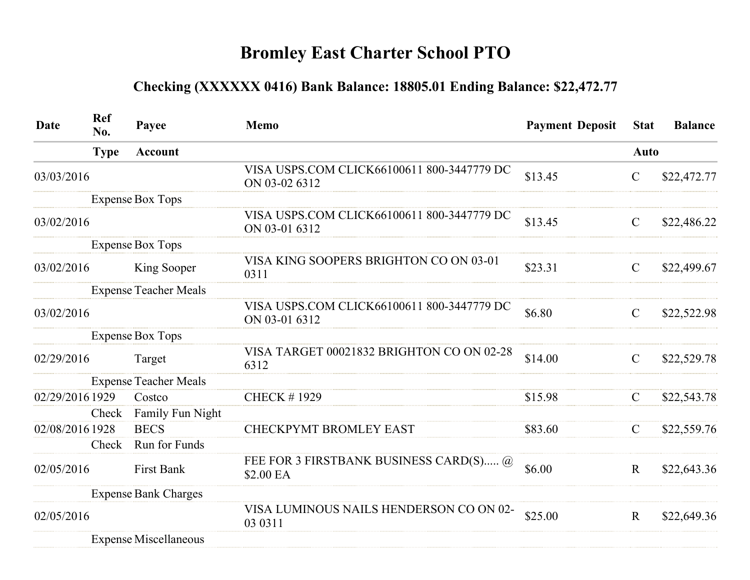## Bromley East Charter School PTO

## Checking (XXXXXX 0416) Bank Balance: 18805.01 Ending Balance: \$22,472.77

| Date            | <b>Ref</b><br>No. | Payee                        | <b>Memo</b>                                                 | <b>Payment Deposit</b> | <b>Stat</b>   | <b>Balance</b> |
|-----------------|-------------------|------------------------------|-------------------------------------------------------------|------------------------|---------------|----------------|
|                 | <b>Type</b>       | <b>Account</b>               |                                                             |                        | <b>Auto</b>   |                |
| 03/03/2016      |                   |                              | VISA USPS.COM CLICK66100611 800-3447779 DC<br>ON 03-02 6312 | \$13.45                | $\mathcal{C}$ | \$22,472.77    |
|                 |                   | <b>Expense Box Tops</b>      |                                                             |                        |               |                |
| 03/02/2016      |                   |                              | VISA USPS.COM CLICK66100611 800-3447779 DC<br>ON 03-01 6312 | \$13.45                | $\mathcal{C}$ | \$22,486.22    |
|                 |                   | <b>Expense Box Tops</b>      |                                                             |                        |               |                |
| 03/02/2016      |                   | King Sooper                  | VISA KING SOOPERS BRIGHTON CO ON 03-01<br>0311              | \$23.31                | $\mathcal{C}$ | \$22,499.67    |
|                 |                   | <b>Expense Teacher Meals</b> |                                                             |                        |               |                |
| 03/02/2016      |                   |                              | VISA USPS.COM CLICK66100611 800-3447779 DC<br>ON 03-01 6312 | \$6.80                 | $\mathcal{C}$ | \$22,522.98    |
|                 |                   | <b>Expense Box Tops</b>      |                                                             |                        |               |                |
| 02/29/2016      |                   | Target                       | VISA TARGET 00021832 BRIGHTON CO ON 02-28<br>6312           | \$14.00                | $\mathcal{C}$ | \$22,529.78    |
|                 |                   | <b>Expense Teacher Meals</b> |                                                             |                        |               |                |
| 02/29/2016 1929 |                   | Costco                       | <b>CHECK #1929</b>                                          | \$15.98                | $\mathcal{C}$ | \$22,543.78    |
|                 | Check             | Family Fun Night             |                                                             |                        |               |                |
| 02/08/2016 1928 |                   | <b>BECS</b>                  | <b>CHECKPYMT BROMLEY EAST</b>                               | \$83.60                | $\mathcal{C}$ | \$22,559.76    |
|                 | Check             | Run for Funds                |                                                             |                        |               |                |
| 02/05/2016      |                   | <b>First Bank</b>            | FEE FOR 3 FIRSTBANK BUSINESS CARD(S) @<br>\$2.00 EA         | \$6.00                 | $\mathbf R$   | \$22,643.36    |
|                 |                   | <b>Expense Bank Charges</b>  |                                                             |                        |               |                |
| 02/05/2016      |                   |                              | VISA LUMINOUS NAILS HENDERSON CO ON 02-<br>03 03 11         | \$25.00                | $\mathbf R$   | \$22,649.36    |
|                 |                   | <b>Expense Miscellaneous</b> |                                                             |                        |               |                |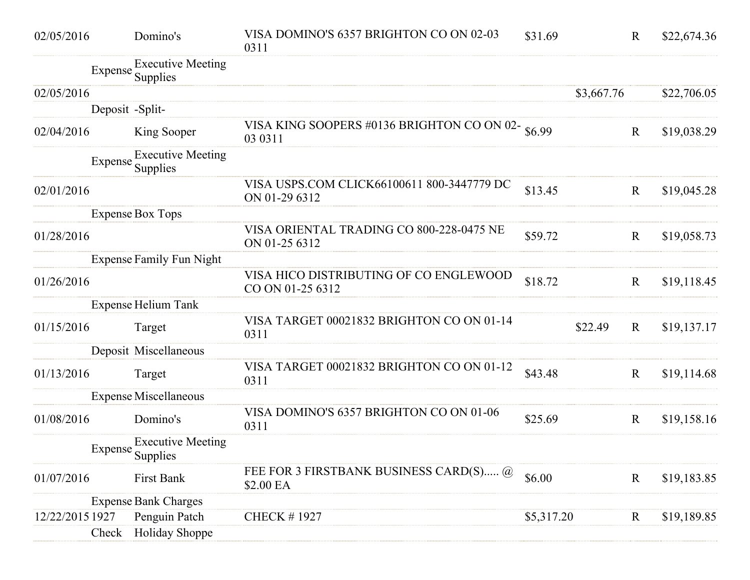| 02/05/2016      | Domino's                                     | VISA DOMINO'S 6357 BRIGHTON CO ON 02-03<br>0311               | \$31.69    |            | $\mathbf R$ | \$22,674.36 |
|-----------------|----------------------------------------------|---------------------------------------------------------------|------------|------------|-------------|-------------|
|                 | <b>Executive Meeting</b><br>Expense Supplies |                                                               |            |            |             |             |
| 02/05/2016      |                                              |                                                               |            | \$3,667.76 |             | \$22,706.05 |
|                 | Deposit -Split-                              |                                                               |            |            |             |             |
| 02/04/2016      | King Sooper                                  | VISA KING SOOPERS #0136 BRIGHTON CO ON 02- \$6.99<br>03 03 11 |            |            | $\mathbf R$ | \$19,038.29 |
|                 | <b>Executive Meeting</b><br>Expense Supplies |                                                               |            |            |             |             |
| 02/01/2016      |                                              | VISA USPS.COM CLICK66100611 800-3447779 DC<br>ON 01-29 6312   | \$13.45    |            | $\mathbf R$ | \$19,045.28 |
|                 | <b>Expense Box Tops</b>                      |                                                               |            |            |             |             |
| 01/28/2016      |                                              | VISA ORIENTAL TRADING CO 800-228-0475 NE<br>ON 01-25 6312     | \$59.72    |            | $\mathbf R$ | \$19,058.73 |
|                 | <b>Expense Family Fun Night</b>              |                                                               |            |            |             |             |
| 01/26/2016      |                                              | VISA HICO DISTRIBUTING OF CO ENGLEWOOD<br>CO ON 01-25 6312    | \$18.72    |            | $\mathbf R$ | \$19,118.45 |
|                 | <b>Expense Helium Tank</b>                   |                                                               |            |            |             |             |
| 01/15/2016      | Target                                       | VISA TARGET 00021832 BRIGHTON CO ON 01-14<br>0311             |            | \$22.49    | $\mathbf R$ | \$19,137.17 |
|                 | Deposit Miscellaneous                        |                                                               |            |            |             |             |
| 01/13/2016      | Target                                       | VISA TARGET 00021832 BRIGHTON CO ON 01-12<br>0311             | \$43.48    |            | $\mathbf R$ | \$19,114.68 |
|                 | <b>Expense Miscellaneous</b>                 |                                                               |            |            |             |             |
| 01/08/2016      | Domino's                                     | VISA DOMINO'S 6357 BRIGHTON CO ON 01-06<br>0311               | \$25.69    |            | $\mathbf R$ | \$19,158.16 |
|                 | <b>Executive Meeting</b><br>Expense Supplies |                                                               |            |            |             |             |
| 01/07/2016      | First Bank                                   | FEE FOR 3 FIRSTBANK BUSINESS CARD(S) @<br>\$2.00 EA           | \$6.00     |            | $\mathbf R$ | \$19,183.85 |
|                 | <b>Expense Bank Charges</b>                  |                                                               |            |            |             |             |
| 12/22/2015 1927 | Penguin Patch                                | <b>CHECK #1927</b>                                            | \$5,317.20 |            | $\mathbf R$ | \$19,189.85 |
|                 | <b>Holiday Shoppe</b><br>Check               |                                                               |            |            |             |             |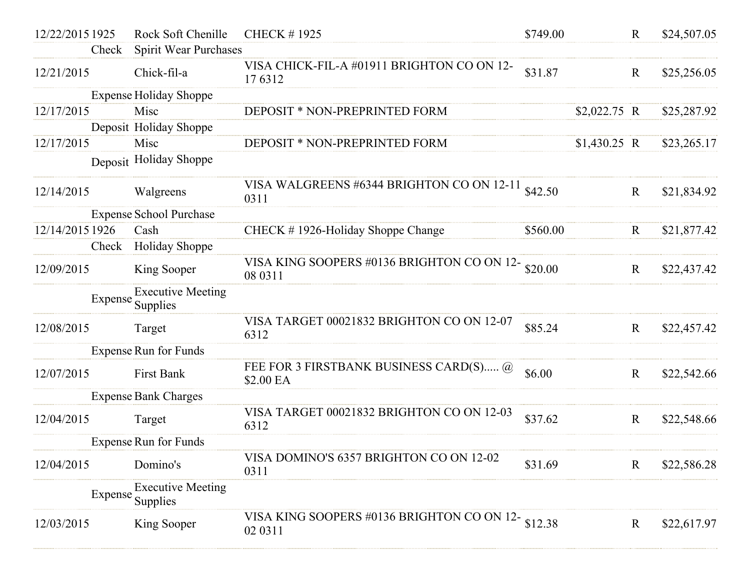| 12/22/2015 1925 | Rock Soft Chenille                           | <b>CHECK #1925</b>                                              | \$749.00 |               | $\mathbf R$  | \$24,507.05 |
|-----------------|----------------------------------------------|-----------------------------------------------------------------|----------|---------------|--------------|-------------|
| Check           | Spirit Wear Purchases                        |                                                                 |          |               |              |             |
| 12/21/2015      | Chick-fil-a                                  | VISA CHICK-FIL-A #01911 BRIGHTON CO ON 12-<br>176312            | \$31.87  |               | $\mathbf R$  | \$25,256.05 |
|                 | <b>Expense Holiday Shoppe</b>                |                                                                 |          |               |              |             |
| 12/17/2015      | Misc                                         | DEPOSIT * NON-PREPRINTED FORM                                   |          | $$2,022.75$ R |              | \$25,287.92 |
|                 | Deposit Holiday Shoppe                       |                                                                 |          |               |              |             |
| 12/17/2015      | Misc                                         | DEPOSIT * NON-PREPRINTED FORM                                   |          | $$1,430.25$ R |              | \$23,265.17 |
|                 | Deposit Holiday Shoppe                       |                                                                 |          |               |              |             |
| 12/14/2015      | Walgreens                                    | VISA WALGREENS #6344 BRIGHTON CO ON 12-11<br>0311               | \$42.50  |               | $\mathbf{R}$ | \$21,834.92 |
|                 | <b>Expense School Purchase</b>               |                                                                 |          |               |              |             |
| 12/14/2015 1926 | Cash                                         | CHECK #1926-Holiday Shoppe Change                               | \$560.00 |               | $\mathbf R$  | \$21,877.42 |
| Check           | Holiday Shoppe                               |                                                                 |          |               |              |             |
| 12/09/2015      | King Sooper                                  | VISA KING SOOPERS #0136 BRIGHTON CO ON 12- $$20.00$<br>08 03 11 |          |               | $\mathbf R$  | \$22,437.42 |
| Expense         | <b>Executive Meeting</b><br>Supplies         |                                                                 |          |               |              |             |
| 12/08/2015      | Target                                       | VISA TARGET 00021832 BRIGHTON CO ON 12-07<br>6312               | \$85.24  |               | $\mathbf{R}$ | \$22,457.42 |
|                 | <b>Expense Run for Funds</b>                 |                                                                 |          |               |              |             |
| 12/07/2015      | First Bank                                   | FEE FOR 3 FIRSTBANK BUSINESS CARD(S) @<br>\$2.00 EA             | \$6.00   |               | $\mathbf R$  | \$22,542.66 |
|                 | <b>Expense Bank Charges</b>                  |                                                                 |          |               |              |             |
| 12/04/2015      | Target                                       | VISA TARGET 00021832 BRIGHTON CO ON 12-03<br>6312               | \$37.62  |               | $\mathbf R$  | \$22,548.66 |
|                 | <b>Expense Run for Funds</b>                 |                                                                 |          |               |              |             |
| 12/04/2015      | Domino's                                     | VISA DOMINO'S 6357 BRIGHTON CO ON 12-02<br>0311                 | \$31.69  |               | $\mathbf R$  | \$22,586.28 |
|                 | <b>Executive Meeting</b><br>Expense Supplies |                                                                 |          |               |              |             |
| 12/03/2015      | King Sooper                                  | VISA KING SOOPERS #0136 BRIGHTON CO ON 12- $$12.38$<br>02 03 11 |          |               | $\mathbf{R}$ | \$22,617.97 |
|                 |                                              |                                                                 |          |               |              |             |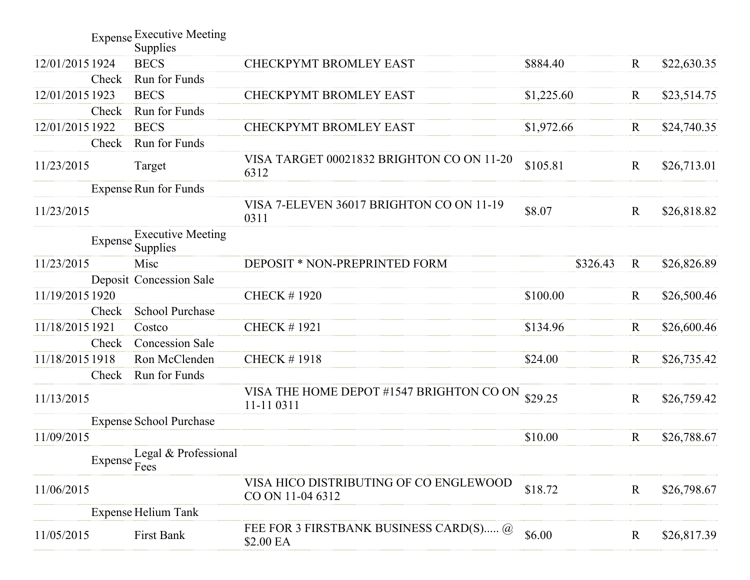|                 |       | <b>Expense Executive Meeting</b><br>Supplies |                                                            |            |              |             |
|-----------------|-------|----------------------------------------------|------------------------------------------------------------|------------|--------------|-------------|
| 12/01/2015 1924 |       | <b>BECS</b>                                  | <b>CHECKPYMT BROMLEY EAST</b>                              | \$884.40   | $\mathbf{R}$ | \$22,630.35 |
|                 | Check | Run for Funds                                |                                                            |            |              |             |
| 12/01/2015 1923 |       | <b>BECS</b>                                  | CHECKPYMT BROMLEY EAST                                     | \$1,225.60 | $\mathbf R$  | \$23,514.75 |
|                 | Check | Run for Funds                                |                                                            |            |              |             |
| 12/01/2015 1922 |       | <b>BECS</b>                                  | CHECKPYMT BROMLEY EAST                                     | \$1,972.66 | $\mathbf R$  | \$24,740.35 |
|                 | Check | Run for Funds                                |                                                            |            |              |             |
| 11/23/2015      |       | Target                                       | VISA TARGET 00021832 BRIGHTON CO ON 11-20<br>6312          | \$105.81   | $\mathbf R$  | \$26,713.01 |
|                 |       | <b>Expense Run for Funds</b>                 |                                                            |            |              |             |
| 11/23/2015      |       |                                              | VISA 7-ELEVEN 36017 BRIGHTON CO ON 11-19<br>0311           | \$8.07     | $\mathbf{R}$ | \$26,818.82 |
|                 |       | <b>Executive Meeting</b><br>Expense Supplies |                                                            |            |              |             |
| 11/23/2015      |       | Misc                                         | DEPOSIT * NON-PREPRINTED FORM                              | \$326.43   | $\mathbf R$  | \$26,826.89 |
|                 |       | Deposit Concession Sale                      |                                                            |            |              |             |
| 11/19/2015 1920 |       |                                              | <b>CHECK #1920</b>                                         | \$100.00   | $\mathbf R$  | \$26,500.46 |
|                 | Check | <b>School Purchase</b>                       |                                                            |            |              |             |
| 11/18/2015 1921 |       | Costco                                       | <b>CHECK #1921</b>                                         | \$134.96   | $\mathbf R$  | \$26,600.46 |
|                 | Check | <b>Concession Sale</b>                       |                                                            |            |              |             |
| 11/18/2015 1918 |       | Ron McClenden                                | <b>CHECK #1918</b>                                         | \$24.00    | $\mathbf R$  | \$26,735.42 |
|                 | Check | Run for Funds                                |                                                            |            |              |             |
| 11/13/2015      |       |                                              | VISA THE HOME DEPOT #1547 BRIGHTON CO ON<br>11-11 0311     | \$29.25    | $\mathbf R$  | \$26,759.42 |
|                 |       | <b>Expense School Purchase</b>               |                                                            |            |              |             |
| 11/09/2015      |       |                                              |                                                            | \$10.00    | $\mathbf R$  | \$26,788.67 |
|                 |       | Expense Legal & Professional                 |                                                            |            |              |             |
| 11/06/2015      |       |                                              | VISA HICO DISTRIBUTING OF CO ENGLEWOOD<br>CO ON 11-04 6312 | \$18.72    | $\mathbf R$  | \$26,798.67 |
|                 |       | <b>Expense Helium Tank</b>                   |                                                            |            |              |             |
| 11/05/2015      |       | First Bank                                   | FEE FOR 3 FIRSTBANK BUSINESS CARD(S) @<br>\$2.00 EA        | \$6.00     | $\mathbf R$  | \$26,817.39 |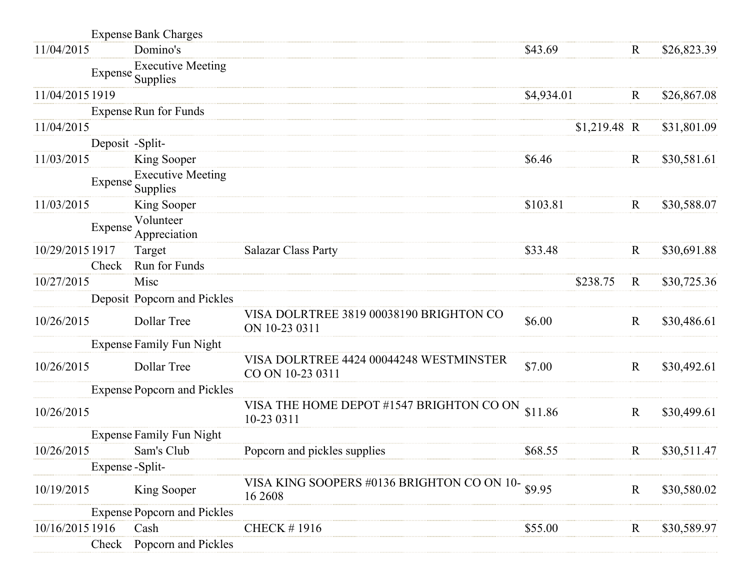|                 |                  | <b>Expense Bank Charges</b>                  |                                                              |            |               |              |             |
|-----------------|------------------|----------------------------------------------|--------------------------------------------------------------|------------|---------------|--------------|-------------|
| 11/04/2015      |                  | Domino's                                     |                                                              | \$43.69    |               | $\mathbf R$  | \$26,823.39 |
|                 |                  | <b>Executive Meeting</b><br>Expense Supplies |                                                              |            |               |              |             |
| 11/04/2015 1919 |                  |                                              |                                                              | \$4,934.01 |               | $\mathbf R$  | \$26,867.08 |
|                 |                  | <b>Expense Run for Funds</b>                 |                                                              |            |               |              |             |
| 11/04/2015      |                  |                                              |                                                              |            | $$1,219.48$ R |              | \$31,801.09 |
|                 | Deposit -Split-  |                                              |                                                              |            |               |              |             |
| 11/03/2015      |                  | King Sooper                                  |                                                              | \$6.46     |               | R            | \$30,581.61 |
|                 |                  | <b>Executive Meeting</b><br>Expense Supplies |                                                              |            |               |              |             |
| 11/03/2015      |                  | King Sooper                                  |                                                              | \$103.81   |               | $\mathbf R$  | \$30,588.07 |
|                 | Expense          | Volunteer<br>Appreciation                    |                                                              |            |               |              |             |
| 10/29/2015 1917 |                  | Target                                       | <b>Salazar Class Party</b>                                   | \$33.48    |               | $\mathbf R$  | \$30,691.88 |
|                 | Check            | Run for Funds                                |                                                              |            |               |              |             |
| 10/27/2015      |                  | Misc                                         |                                                              |            | \$238.75      | $\mathbf R$  | \$30,725.36 |
|                 |                  | Deposit Popcorn and Pickles                  |                                                              |            |               |              |             |
| 10/26/2015      |                  | Dollar Tree                                  | VISA DOLRTREE 3819 00038190 BRIGHTON CO<br>ON 10-23 0311     | \$6.00     |               | $\mathbf R$  | \$30,486.61 |
|                 |                  | <b>Expense Family Fun Night</b>              |                                                              |            |               |              |             |
| 10/26/2015      |                  | Dollar Tree                                  | VISA DOLRTREE 4424 00044248 WESTMINSTER<br>CO ON 10-23 0311  | \$7.00     |               | $\mathbf R$  | \$30,492.61 |
|                 |                  | <b>Expense Popcorn and Pickles</b>           |                                                              |            |               |              |             |
| 10/26/2015      |                  |                                              | VISA THE HOME DEPOT #1547 BRIGHTON CO ON<br>10-23 0311       | \$11.86    |               | $\mathbf R$  | \$30,499.61 |
|                 |                  | <b>Expense Family Fun Night</b>              |                                                              |            |               |              |             |
| 10/26/2015      |                  | Sam's Club                                   | Popcorn and pickles supplies                                 | \$68.55    |               | $\mathbf R$  | \$30,511.47 |
|                 | Expense - Split- |                                              |                                                              |            |               |              |             |
| 10/19/2015      |                  | King Sooper                                  | VISA KING SOOPERS #0136 BRIGHTON CO ON 10- \$9.95<br>16 2608 |            |               | $\mathbf{R}$ | \$30,580.02 |
|                 |                  | <b>Expense Popcorn and Pickles</b>           |                                                              |            |               |              |             |
| 10/16/2015 1916 |                  | Cash                                         | <b>CHECK #1916</b>                                           | \$55.00    |               | $\rm R$      | \$30,589.97 |
|                 | Check            | Popcorn and Pickles                          |                                                              |            |               |              |             |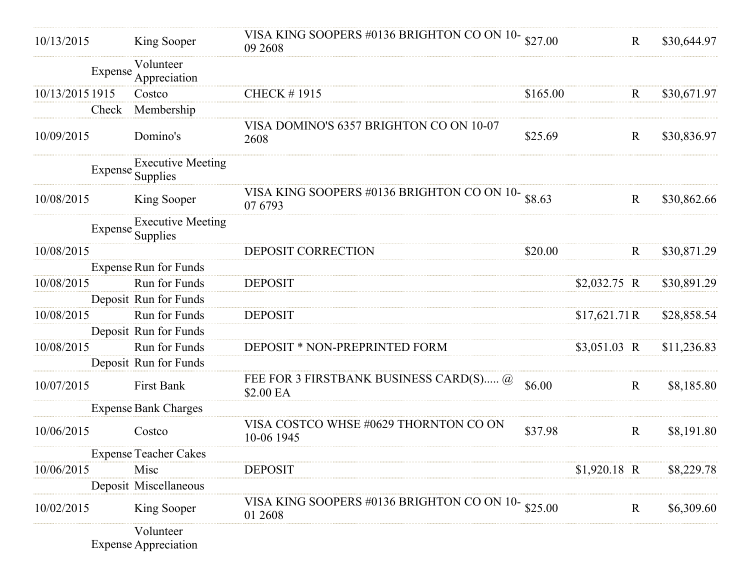| 10/13/2015      | King Sooper                                  | VISA KING SOOPERS #0136 BRIGHTON CO ON 10-<br>09 2608          | \$27.00  |               | $\mathbf R$ | \$30,644.97 |
|-----------------|----------------------------------------------|----------------------------------------------------------------|----------|---------------|-------------|-------------|
|                 | Volunteer<br>Expense<br>Appreciation         |                                                                |          |               |             |             |
| 10/13/2015 1915 | Costco                                       | <b>CHECK #1915</b>                                             | \$165.00 |               | $\mathbf R$ | \$30,671.97 |
|                 | Membership<br>Check                          |                                                                |          |               |             |             |
| 10/09/2015      | Domino's                                     | VISA DOMINO'S 6357 BRIGHTON CO ON 10-07<br>2608                | \$25.69  |               | $\mathbf R$ | \$30,836.97 |
|                 | <b>Executive Meeting</b><br>Expense Supplies |                                                                |          |               |             |             |
| 10/08/2015      | King Sooper                                  | VISA KING SOOPERS #0136 BRIGHTON CO ON 10- $$8.63$<br>07 6793  |          |               | $\mathbf R$ | \$30,862.66 |
|                 | Expense Executive Meeting<br>Supplies        |                                                                |          |               |             |             |
| 10/08/2015      |                                              | DEPOSIT CORRECTION                                             | \$20.00  |               | $\mathbf R$ | \$30,871.29 |
|                 | <b>Expense Run for Funds</b>                 |                                                                |          |               |             |             |
| 10/08/2015      | Run for Funds                                | <b>DEPOSIT</b>                                                 |          | $$2,032.75$ R |             | \$30,891.29 |
|                 | Deposit Run for Funds                        |                                                                |          |               |             |             |
| 10/08/2015      | Run for Funds                                | <b>DEPOSIT</b>                                                 |          | \$17,621.71R  |             | \$28,858.54 |
|                 | Deposit Run for Funds                        |                                                                |          |               |             |             |
| 10/08/2015      | Run for Funds                                | DEPOSIT * NON-PREPRINTED FORM                                  |          | \$3,051.03 R  |             | \$11,236.83 |
|                 | Deposit Run for Funds                        |                                                                |          |               |             |             |
| 10/07/2015      | First Bank                                   | FEE FOR 3 FIRSTBANK BUSINESS CARD(S) @<br>\$2.00 EA            | \$6.00   |               | $\mathbf R$ | \$8,185.80  |
|                 | <b>Expense Bank Charges</b>                  |                                                                |          |               |             |             |
| 10/06/2015      | Costco                                       | VISA COSTCO WHSE #0629 THORNTON CO ON<br>10-06 1945            | \$37.98  |               | $\mathbf R$ | \$8,191.80  |
|                 | <b>Expense Teacher Cakes</b>                 |                                                                |          |               |             |             |
| 10/06/2015      | Misc                                         | <b>DEPOSIT</b>                                                 |          | \$1,920.18 R  |             | \$8,229.78  |
|                 | Deposit Miscellaneous                        |                                                                |          |               |             |             |
| 10/02/2015      | King Sooper                                  | VISA KING SOOPERS #0136 BRIGHTON CO ON 10- $$25.00$<br>01 2608 |          |               | $\mathbf R$ | \$6,309.60  |
|                 | Volunteer<br><b>Expense Appreciation</b>     |                                                                |          |               |             |             |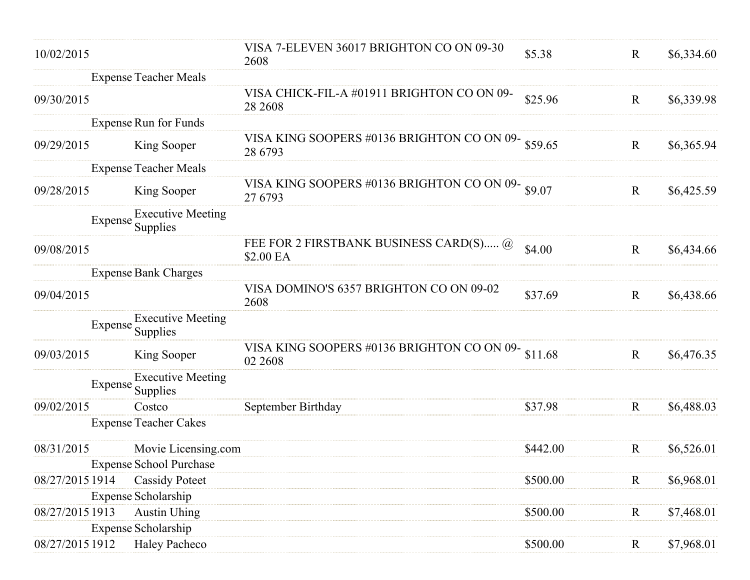| 10/02/2015      |                                              | VISA 7-ELEVEN 36017 BRIGHTON CO ON 09-30<br>2608               | \$5.38   | $\mathbf R$  | \$6,334.60 |
|-----------------|----------------------------------------------|----------------------------------------------------------------|----------|--------------|------------|
|                 | <b>Expense Teacher Meals</b>                 |                                                                |          |              |            |
| 09/30/2015      |                                              | VISA CHICK-FIL-A #01911 BRIGHTON CO ON 09-<br>28 2608          | \$25.96  | $\mathbf{R}$ | \$6,339.98 |
|                 | <b>Expense Run for Funds</b>                 |                                                                |          |              |            |
| 09/29/2015      | King Sooper                                  | VISA KING SOOPERS #0136 BRIGHTON CO ON 09-859.65<br>28 6793    |          | $\mathbf R$  | \$6,365.94 |
|                 | <b>Expense Teacher Meals</b>                 |                                                                |          |              |            |
| 09/28/2015      | King Sooper                                  | VISA KING SOOPERS #0136 BRIGHTON CO ON 09- \$9.07<br>27 6793   |          | $\mathbf R$  | \$6,425.59 |
|                 | <b>Executive Meeting</b><br>Expense Supplies |                                                                |          |              |            |
| 09/08/2015      |                                              | FEE FOR 2 FIRSTBANK BUSINESS CARD(S) @<br>\$2.00 EA            | \$4.00   | $\mathbf R$  | \$6,434.66 |
|                 | <b>Expense Bank Charges</b>                  |                                                                |          |              |            |
| 09/04/2015      |                                              | VISA DOMINO'S 6357 BRIGHTON CO ON 09-02<br>2608                | \$37.69  | $\mathbf R$  | \$6,438.66 |
|                 | <b>Executive Meeting</b><br>Expense Supplies |                                                                |          |              |            |
| 09/03/2015      | King Sooper                                  | VISA KING SOOPERS #0136 BRIGHTON CO ON 09- $$11.68$<br>02 2608 |          | $\mathbf R$  | \$6,476.35 |
|                 | <b>Executive Meeting</b><br>Expense Supplies |                                                                |          |              |            |
| 09/02/2015      | Costco                                       | September Birthday                                             | \$37.98  | $\mathbf R$  | \$6,488.03 |
|                 | <b>Expense Teacher Cakes</b>                 |                                                                |          |              |            |
| 08/31/2015      | Movie Licensing.com                          |                                                                | \$442.00 | $\mathbf R$  | \$6,526.01 |
|                 | <b>Expense School Purchase</b>               |                                                                |          |              |            |
| 08/27/2015 1914 | <b>Cassidy Poteet</b>                        |                                                                | \$500.00 | $\mathbf R$  | \$6,968.01 |
|                 | <b>Expense Scholarship</b>                   |                                                                |          |              |            |
| 08/27/2015 1913 | <b>Austin Uhing</b>                          |                                                                | \$500.00 | $\mathbf R$  | \$7,468.01 |
|                 | <b>Expense Scholarship</b>                   |                                                                |          |              |            |
| 08/27/2015 1912 | <b>Haley Pacheco</b>                         |                                                                | \$500.00 | $\mathbf R$  | \$7,968.01 |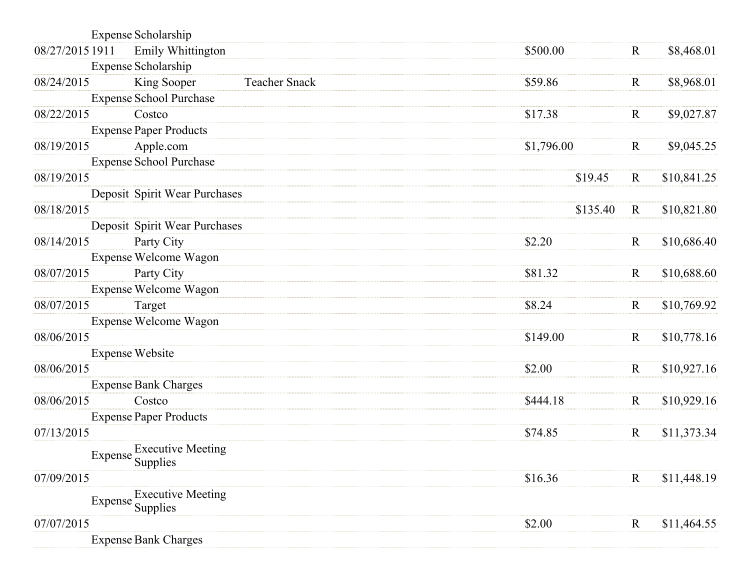|                 | <b>Expense Scholarship</b>     |                      |            |             |             |
|-----------------|--------------------------------|----------------------|------------|-------------|-------------|
| 08/27/2015 1911 | Emily Whittington              |                      | \$500.00   | $\mathbf R$ | \$8,468.01  |
|                 | Expense Scholarship            |                      |            |             |             |
| 08/24/2015      | King Sooper                    | <b>Teacher Snack</b> | \$59.86    | $\mathbf R$ | \$8,968.01  |
|                 | <b>Expense School Purchase</b> |                      |            |             |             |
| 08/22/2015      | Costco                         |                      | \$17.38    | $\mathbf R$ | \$9,027.87  |
|                 | <b>Expense Paper Products</b>  |                      |            |             |             |
| 08/19/2015      | Apple.com                      |                      | \$1,796.00 | $\mathbf R$ | \$9,045.25  |
|                 | <b>Expense School Purchase</b> |                      |            |             |             |
| 08/19/2015      |                                |                      | \$19.45    | $\mathbf R$ | \$10,841.25 |
|                 | Deposit Spirit Wear Purchases  |                      |            |             |             |
| 08/18/2015      |                                |                      | \$135.40   | $\mathbf R$ | \$10,821.80 |
|                 | Deposit Spirit Wear Purchases  |                      |            |             |             |
| 08/14/2015      | Party City                     |                      | \$2.20     | $\mathbf R$ | \$10,686.40 |
|                 | Expense Welcome Wagon          |                      |            |             |             |
| 08/07/2015      | Party City                     |                      | \$81.32    | $\mathbf R$ | \$10,688.60 |
|                 | Expense Welcome Wagon          |                      |            |             |             |
| 08/07/2015      | Target                         |                      | \$8.24     | $\mathbf R$ | \$10,769.92 |
| 08/06/2015      | <b>Expense Welcome Wagon</b>   |                      |            |             |             |
|                 | <b>Expense Website</b>         |                      | \$149.00   | $\mathbf R$ | \$10,778.16 |
| 08/06/2015      |                                |                      | \$2.00     | $\mathbf R$ | \$10,927.16 |
|                 | <b>Expense Bank Charges</b>    |                      |            |             |             |
| 08/06/2015      | Costco                         |                      | \$444.18   | $\mathbf R$ | \$10,929.16 |
|                 | <b>Expense Paper Products</b>  |                      |            |             |             |
| 07/13/2015      |                                |                      | \$74.85    | $\mathbf R$ | \$11,373.34 |
|                 | <b>Executive Meeting</b>       |                      |            |             |             |
|                 | Expense Supplies               |                      |            |             |             |
| 07/09/2015      |                                |                      | \$16.36    | $\mathbf R$ | \$11,448.19 |
|                 | <b>Executive Meeting</b>       |                      |            |             |             |
|                 | Expense Supplies               |                      |            |             |             |
| 07/07/2015      |                                |                      | \$2.00     | $\mathbf R$ | \$11,464.55 |
|                 | <b>Expense Bank Charges</b>    |                      |            |             |             |